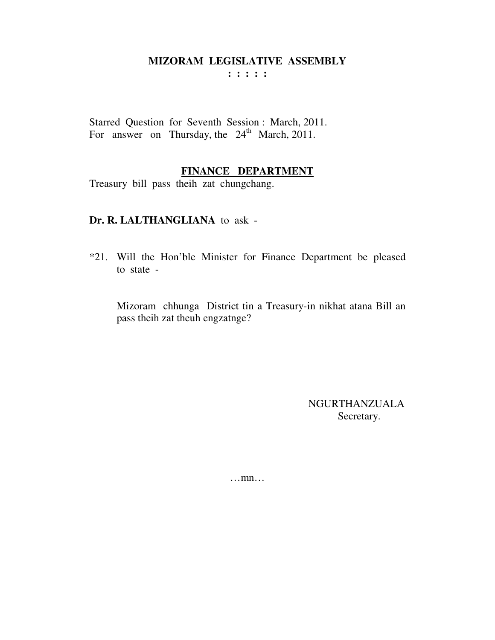**: : : : :** 

Starred Question for Seventh Session : March, 2011. For answer on Thursday, the  $24<sup>th</sup>$  March, 2011.

## **FINANCE DEPARTMENT**

Treasury bill pass theih zat chungchang.

#### **Dr. R. LALTHANGLIANA** to ask -

\*21. Will the Hon'ble Minister for Finance Department be pleased to state -

Mizoram chhunga District tin a Treasury-in nikhat atana Bill an pass theih zat theuh engzatnge?

> NGURTHANZUALA Secretary.

…mn…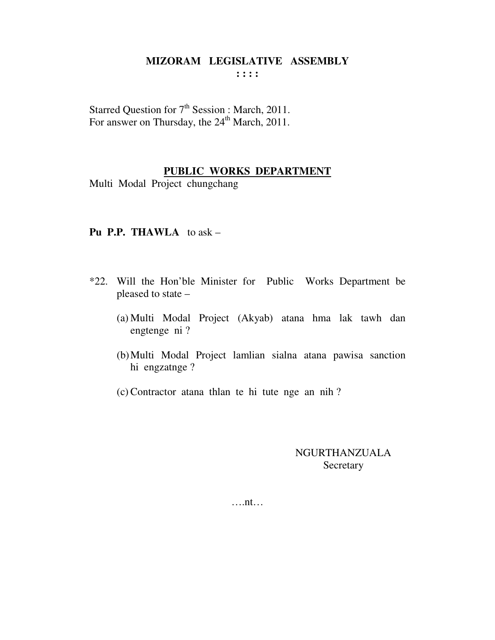Starred Question for 7<sup>th</sup> Session : March, 2011. For answer on Thursday, the 24<sup>th</sup> March, 2011.

## **PUBLIC WORKS DEPARTMENT**

Multi Modal Project chungchang

## **Pu P.P. THAWLA** to ask –

- \*22. Will the Hon'ble Minister for Public Works Department be pleased to state –
	- (a) Multi Modal Project (Akyab) atana hma lak tawh dan engtenge ni ?
	- (b)Multi Modal Project lamlian sialna atana pawisa sanction hi engzatnge ?
	- (c) Contractor atana thlan te hi tute nge an nih ?

NGURTHANZUALA **Secretary** 

….nt…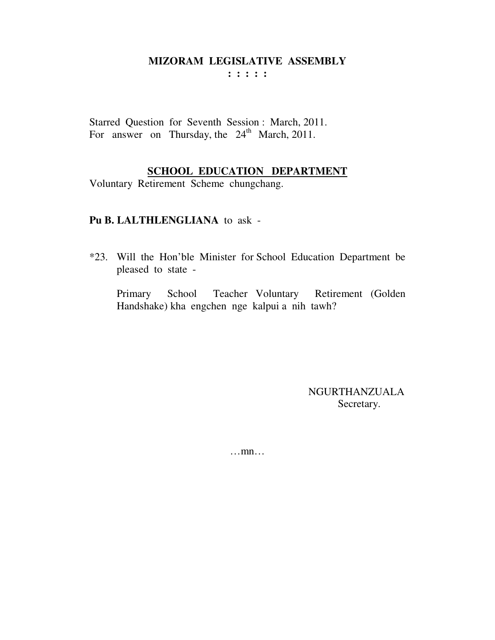: : : : :

Starred Question for Seventh Session: March, 2011. For answer on Thursday, the 24<sup>th</sup> March, 2011.

## **SCHOOL EDUCATION DEPARTMENT**

Voluntary Retirement Scheme chungchang.

#### Pu B. LALTHLENGLIANA to ask -

\*23. Will the Hon'ble Minister for School Education Department be pleased to state -

Primary School Teacher Voluntary Retirement (Golden Handshake) kha engchen nge kalpui a nih tawh?

> **NGURTHANZUALA** Secretary.

 $\dots$ mn $\dots$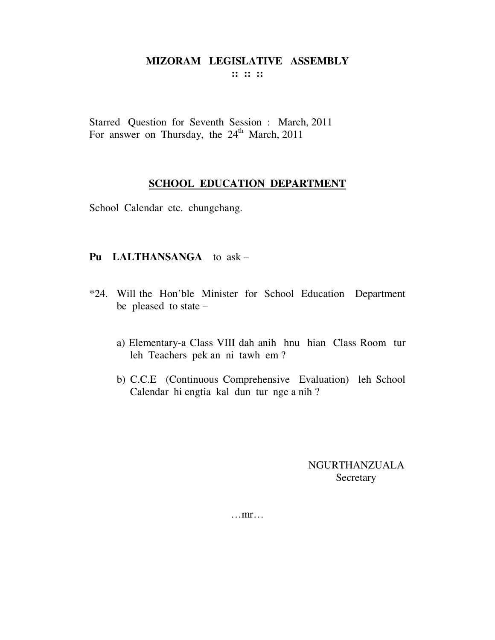Starred Question for Seventh Session : March, 2011 For answer on Thursday, the 24<sup>th</sup> March, 2011

# **SCHOOL EDUCATION DEPARTMENT**

School Calendar etc. chungchang.

# Pu LALTHANSANGA to ask -

- \*24. Will the Hon'ble Minister for School Education Department be pleased to state  $$ 
	- a) Elementary-a Class VIII dah anih hnu hian Class Room tur leh Teachers pek an ni tawh em?
	- b) C.C.E (Continuous Comprehensive Evaluation) leh School Calendar hi engtia kal dun tur nge a nih?

**NGURTHANZUALA** Secretary

 $\dots$ mr $\dots$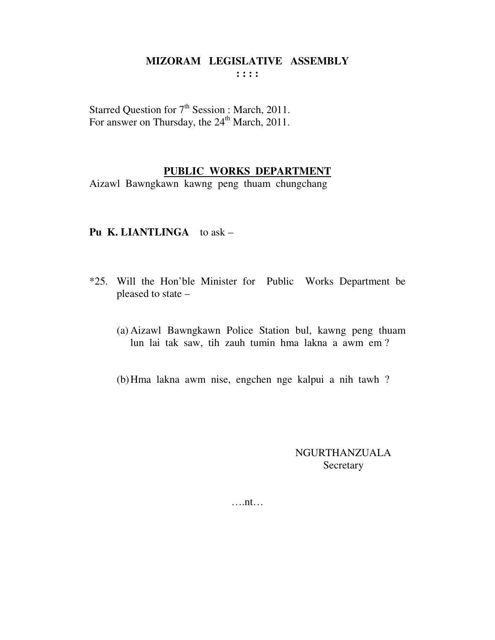Starred Question for 7<sup>th</sup> Session : March, 2011. For answer on Thursday, the 24<sup>th</sup> March, 2011.

#### **PUBLIC WORKS DEPARTMENT**

Aizawl Bawngkawn kawng peng thuam chungchang

## **Pu K. LIANTLINGA** to ask –

- \*25. Will the Hon'ble Minister for Public Works Department be pleased to state –
	- (a) Aizawl Bawngkawn Police Station bul, kawng peng thuam lun lai tak saw, tih zauh tumin hma lakna a awm em ?
	- (b)Hma lakna awm nise, engchen nge kalpui a nih tawh ?

NGURTHANZUALA **Secretary** 

….nt…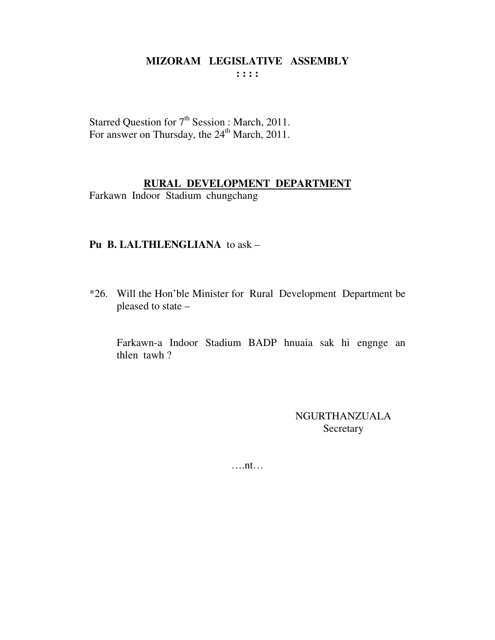Starred Question for  $7<sup>th</sup>$  Session : March, 2011.<br>For answer on Thursday, the  $24<sup>th</sup>$  March, 2011.

# RURAL DEVELOPMENT DEPARTMENT

Farkawn Indoor Stadium chungchang

## Pu B. LALTHLENGLIANA to ask -

\*26. Will the Hon'ble Minister for Rural Development Department be pleased to state -

Farkawn-a Indoor Stadium BADP hnuaia sak hi engnge an thlen tawh?

> **NGURTHANZUALA** Secretary

 $\dots$ nt $\dots$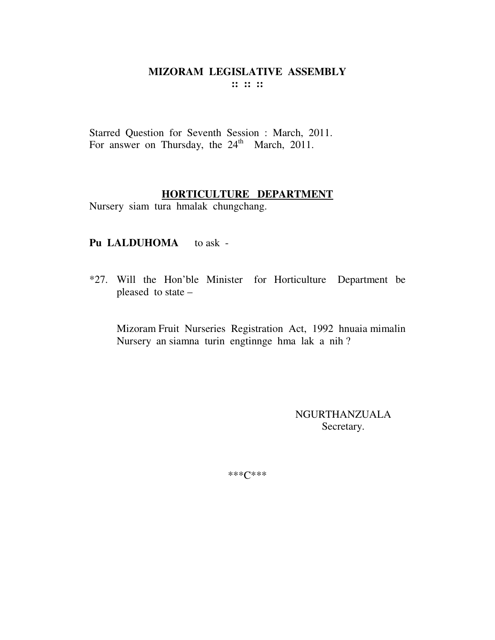Starred Question for Seventh Session : March, 2011. For answer on Thursday, the  $24<sup>th</sup>$  March, 2011.

## **HORTICULTURE DEPARTMENT**

Nursery siam tura hmalak chungchang.

# Pu LALDUHOMA to ask -

\*27. Will the Hon'ble Minister for Horticulture Department be pleased to state –

Mizoram Fruit Nurseries Registration Act, 1992 hnuaia mimalin Nursery an siamna turin engtinnge hma lak a nih ?

> NGURTHANZUALA Secretary.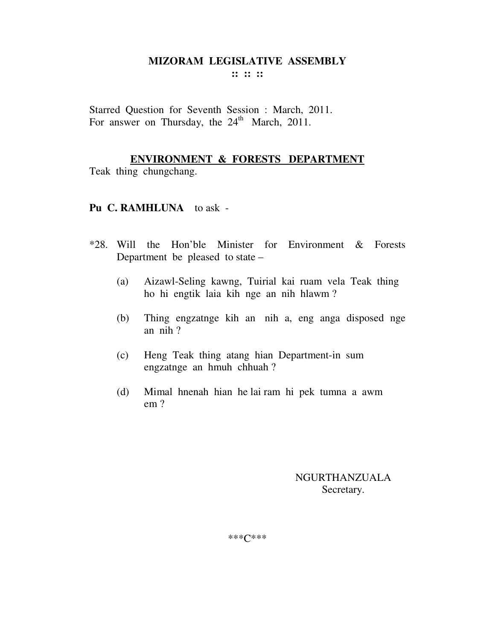**:: :: ::** 

Starred Question for Seventh Session : March, 2011. For answer on Thursday, the  $24<sup>th</sup>$  March, 2011.

## **ENVIRONMENT & FORESTS DEPARTMENT**

Teak thing chungchang.

# **Pu C. RAMHLUNA** to ask -

- \*28. Will the Hon'ble Minister for Environment & Forests Department be pleased to state –
	- (a) Aizawl-Seling kawng, Tuirial kai ruam vela Teak thing ho hi engtik laia kih nge an nih hlawm ?
	- (b) Thing engzatnge kih an nih a, eng anga disposed nge an nih ?
	- (c) Heng Teak thing atang hian Department-in sum engzatnge an hmuh chhuah ?
	- (d) Mimal hnenah hian he lai ram hi pek tumna a awm em ?

NGURTHANZUALA Secretary.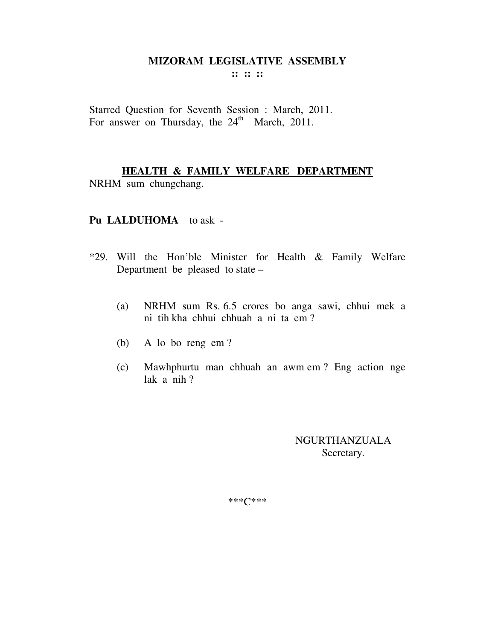**:: :: ::** 

Starred Question for Seventh Session : March, 2011. For answer on Thursday, the  $24<sup>th</sup>$  March, 2011.

# **HEALTH & FAMILY WELFARE DEPARTMENT**

NRHM sum chungchang.

#### **Pu LALDUHOMA** to ask -

- \*29. Will the Hon'ble Minister for Health & Family Welfare Department be pleased to state –
	- (a) NRHM sum Rs. 6.5 crores bo anga sawi, chhui mek a ni tih kha chhui chhuah a ni ta em ?
	- (b) A lo bo reng em ?
	- (c) Mawhphurtu man chhuah an awm em ? Eng action nge lak a nih ?

NGURTHANZUALA Secretary.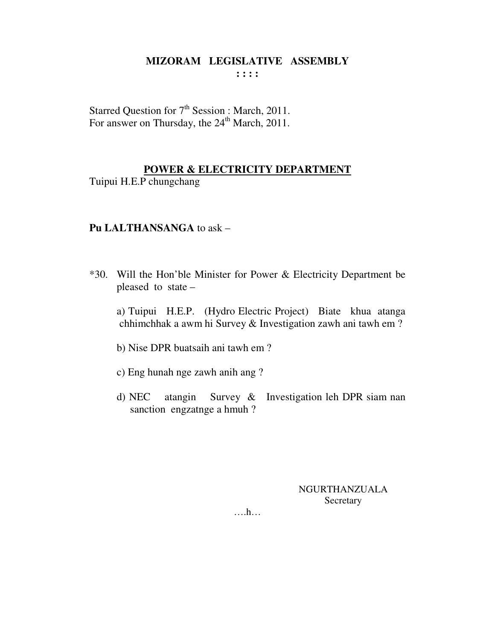Starred Question for  $7<sup>th</sup>$  Session : March, 2011. For answer on Thursday, the 24<sup>th</sup> March, 2011.

## **POWER & ELECTRICITY DEPARTMENT**

Tuipui H.E.P chungchang

## **Pu LALTHANSANGA** to ask –

\*30. Will the Hon'ble Minister for Power & Electricity Department be pleased to state –

 a) Tuipui H.E.P. (Hydro Electric Project) Biate khua atanga chhimchhak a awm hi Survey & Investigation zawh ani tawh em ?

b) Nise DPR buatsaih ani tawh em ?

- c) Eng hunah nge zawh anih ang ?
- d) NEC atangin Survey & Investigation leh DPR siam nan sanction engzatnge a hmuh ?

NGURTHANZUALA Secretary

….h…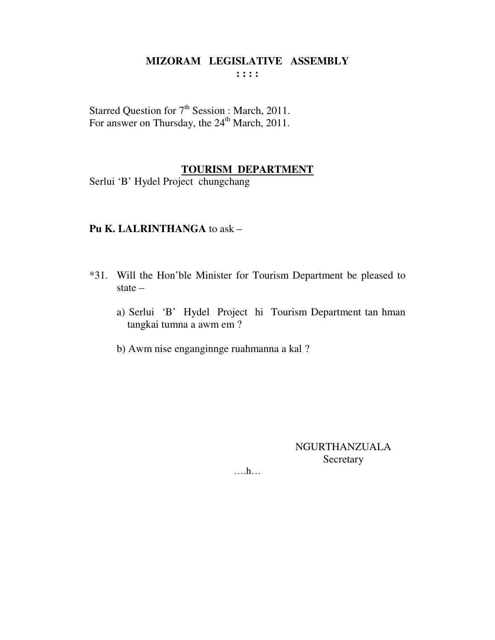Starred Question for 7<sup>th</sup> Session : March, 2011. For answer on Thursday, the 24<sup>th</sup> March, 2011.

## **TOURISM DEPARTMENT**

Serlui 'B' Hydel Project chungchang

## Pu K. LALRINTHANGA to ask -

- \*31. Will the Hon'ble Minister for Tourism Department be pleased to state  $$ 
	- a) Serlui 'B' Hydel Project hi Tourism Department tan hman tangkai tumna a awm em ?
	- b) Awm nise enganginnge ruahmanna a kal?

**NGURTHANZUALA** Secretary

 $\dots$ ...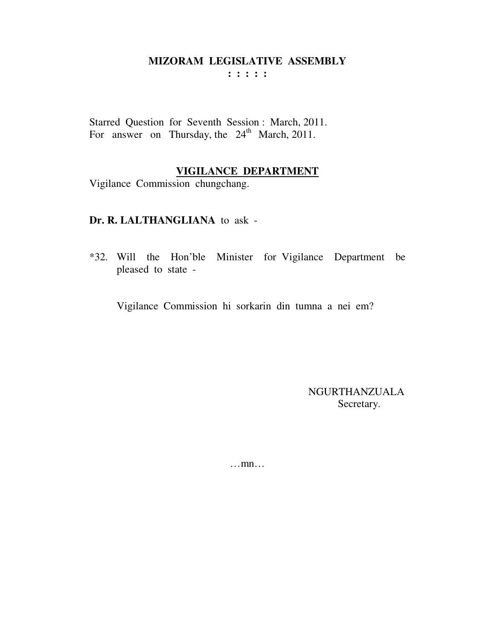: : : : :

Starred Question for Seventh Session: March, 2011. For answer on Thursday, the 24<sup>th</sup> March, 2011.

## **VIGILANCE DEPARTMENT**

Vigilance Commission chungchang.

#### Dr. R. LALTHANGLIANA to ask -

\*32. Will the Hon'ble Minister for Vigilance Department be pleased to state -

Vigilance Commission hi sorkarin din tumna a nei em?

**NGURTHANZUALA** Secretary.

 $\dots$ mn $\dots$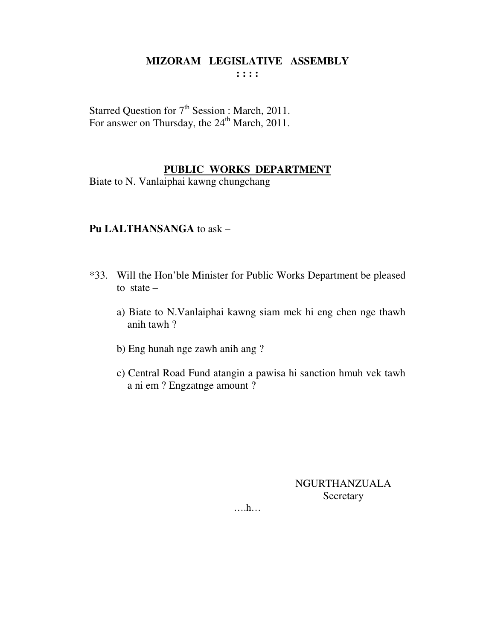Starred Question for  $7<sup>th</sup>$  Session : March, 2011. For answer on Thursday, the 24<sup>th</sup> March, 2011.

## **PUBLIC WORKS DEPARTMENT**

Biate to N. Vanlaiphai kawng chungchang

## **Pu LALTHANSANGA** to ask –

- \*33. Will the Hon'ble Minister for Public Works Department be pleased to state  $$ 
	- a) Biate to N.Vanlaiphai kawng siam mek hi eng chen nge thawh anih tawh ?
	- b) Eng hunah nge zawh anih ang ?
	- c) Central Road Fund atangin a pawisa hi sanction hmuh vek tawh a ni em ? Engzatnge amount ?

NGURTHANZUALA Secretary

….h…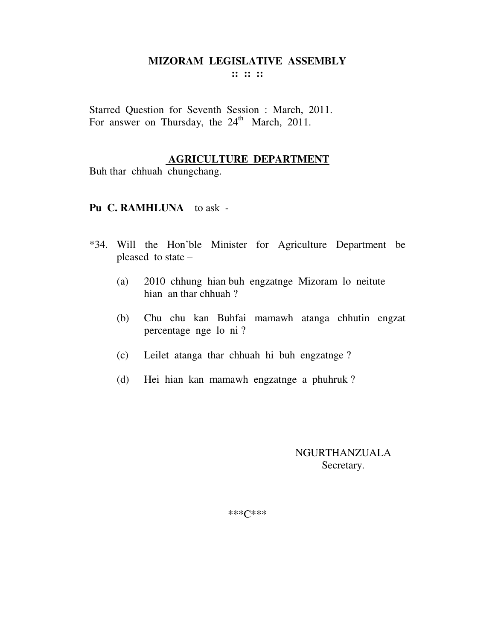**:: :: ::** 

Starred Question for Seventh Session : March, 2011. For answer on Thursday, the  $24<sup>th</sup>$  March, 2011.

#### **AGRICULTURE DEPARTMENT**

Buh thar chhuah chungchang.

#### **Pu C. RAMHLUNA** to ask -

- \*34. Will the Hon'ble Minister for Agriculture Department be pleased to state –
	- (a) 2010 chhung hian buh engzatnge Mizoram lo neitute hian an thar chhuah ?
	- (b) Chu chu kan Buhfai mamawh atanga chhutin engzat percentage nge lo ni ?
	- (c) Leilet atanga thar chhuah hi buh engzatnge ?
	- (d) Hei hian kan mamawh engzatnge a phuhruk ?

NGURTHANZUALA Secretary.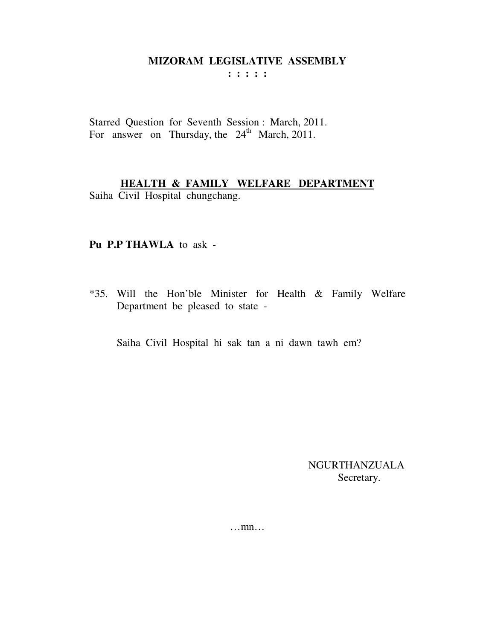: : : : :

Starred Question for Seventh Session: March, 2011. For answer on Thursday, the 24<sup>th</sup> March, 2011.

# **HEALTH & FAMILY WELFARE DEPARTMENT**

Saiha Civil Hospital chungchang.

#### Pu P.P THAWLA to ask -

\*35. Will the Hon'ble Minister for Health & Family Welfare Department be pleased to state -

Saiha Civil Hospital hi sak tan a ni dawn tawh em?

**NGURTHANZUALA** Secretary.

 $\dots$  mn $\dots$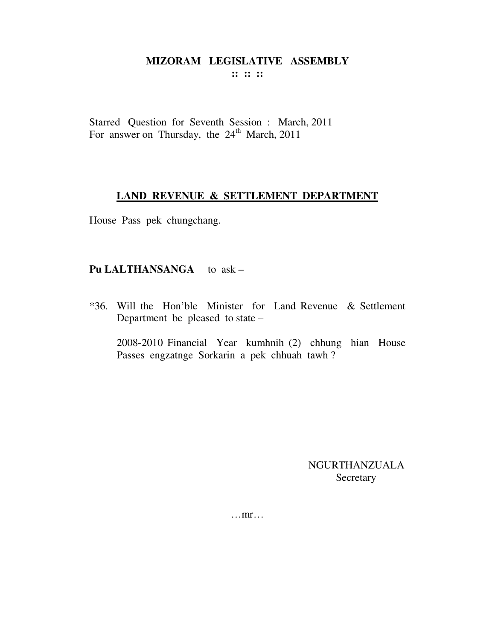$\mathbf{::} \mathbf{::} \mathbf{::}$ 

Starred Question for Seventh Session : March, 2011 For answer on Thursday, the 24<sup>th</sup> March, 2011

## LAND REVENUE & SETTLEMENT DEPARTMENT

House Pass pek chungchang.

# Pu LALTHANSANGA to ask -

\*36. Will the Hon'ble Minister for Land Revenue & Settlement Department be pleased to state –

2008-2010 Financial Year kumhnih (2) chhung hian House Passes engzatnge Sorkarin a pek chhuah tawh?

> **NGURTHANZUALA** Secretary

 $\dots$ mr $\dots$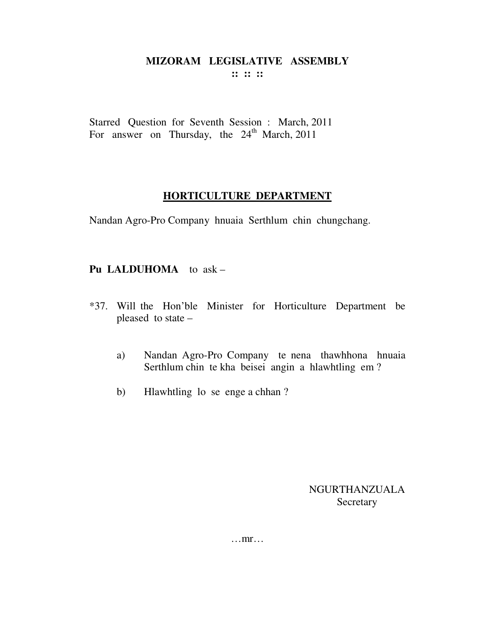$\mathbf{::} \mathbf{::} \mathbf{::}$ 

Starred Question for Seventh Session : March, 2011 For answer on Thursday, the 24<sup>th</sup> March, 2011

# HORTICULTURE DEPARTMENT

Nandan Agro-Pro Company hnuaia Serthlum chin chungchang.

# Pu LALDUHOMA to ask -

- \*37. Will the Hon'ble Minister for Horticulture Department be pleased to state
	- a) Nandan Agro-Pro Company te nena thawhhona hnuaia Serthlum chin te kha beisei angin a hlawhtling em?
	- $b)$ Hlawhtling lo se enge a chhan?

NGURTHANZUALA Secretary

 $\dots$ mr $\dots$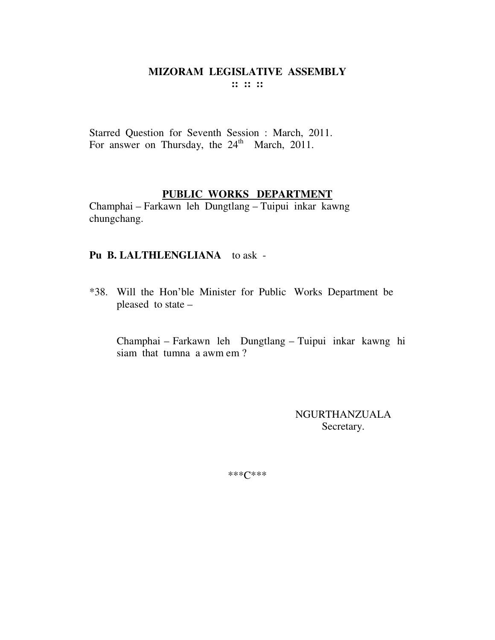Starred Question for Seventh Session : March, 2011. For answer on Thursday, the  $24<sup>th</sup>$  March, 2011.

## **PUBLIC WORKS DEPARTMENT**

Champhai – Farkawn leh Dungtlang – Tuipui inkar kawng chungchang.

# **Pu B. LALTHLENGLIANA** to ask -

\*38. Will the Hon'ble Minister for Public Works Department be pleased to state –

Champhai – Farkawn leh Dungtlang – Tuipui inkar kawng hi siam that tumna a awm em ?

> NGURTHANZUALA Secretary.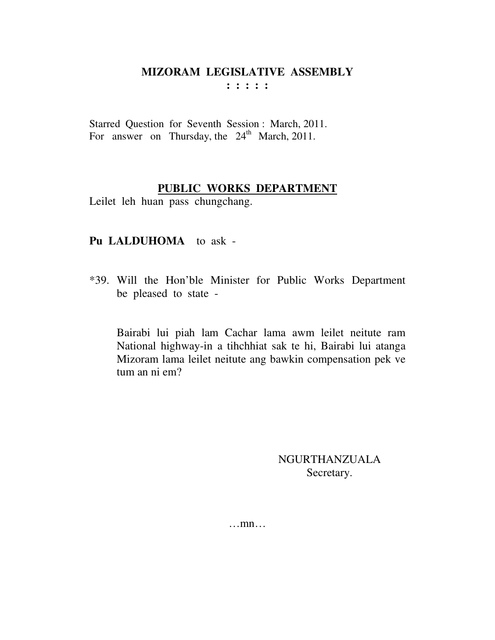**: : : : :** 

Starred Question for Seventh Session : March, 2011. For answer on Thursday, the  $24<sup>th</sup>$  March, 2011.

# **PUBLIC WORKS DEPARTMENT**

Leilet leh huan pass chungchang.

# **Pu LALDUHOMA** to ask -

\*39. Will the Hon'ble Minister for Public Works Department be pleased to state -

Bairabi lui piah lam Cachar lama awm leilet neitute ram National highway-in a tihchhiat sak te hi, Bairabi lui atanga Mizoram lama leilet neitute ang bawkin compensation pek ve tum an ni em?

> NGURTHANZUALA Secretary.

…mn…